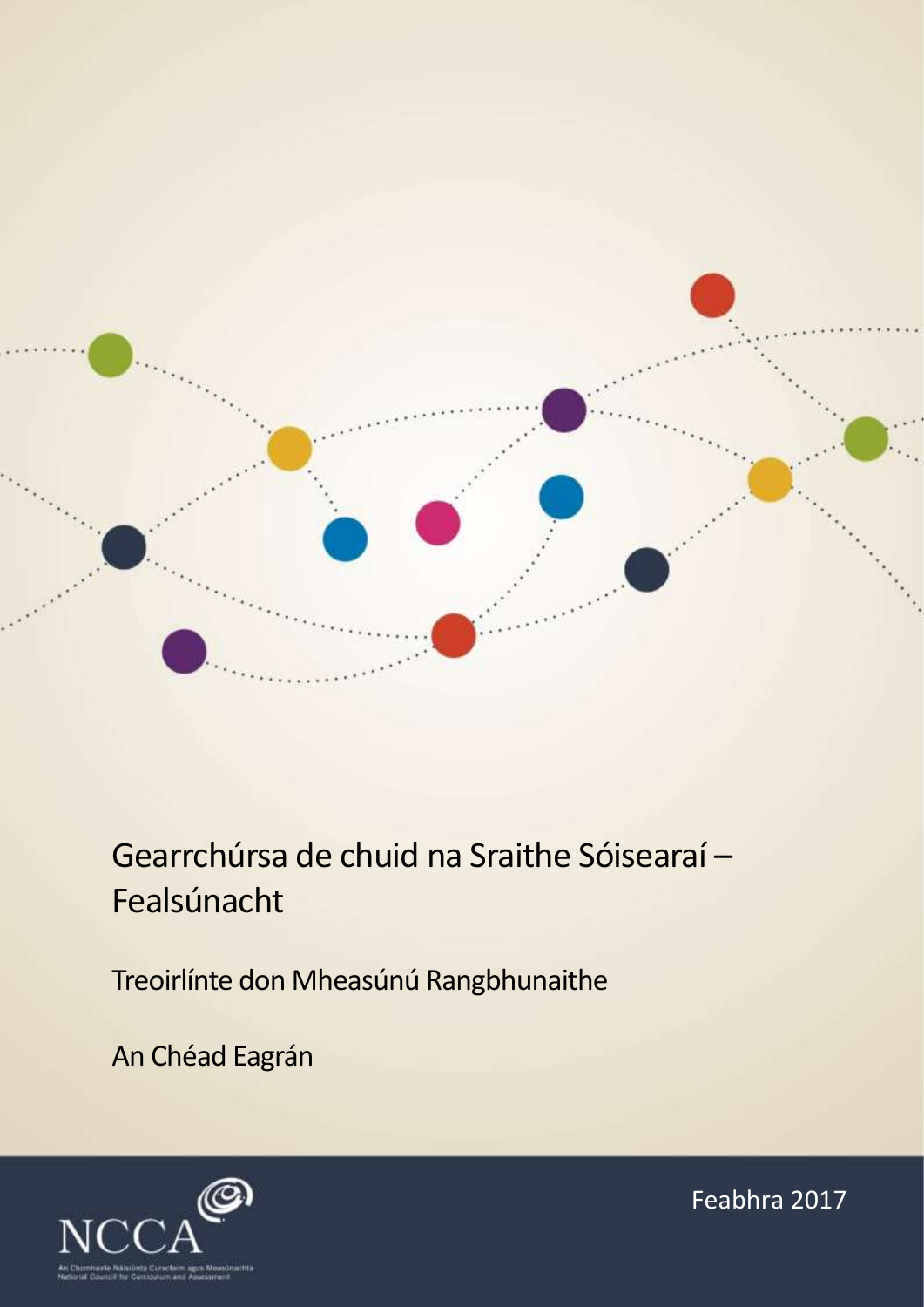

Gearrchúrsa de chuid na Sraithe Sóisearaí – Fealsúnacht

Treoirlínte don Mheasúnú Rangbhunaithe

An Chéad Eagrán



Feabhra 2017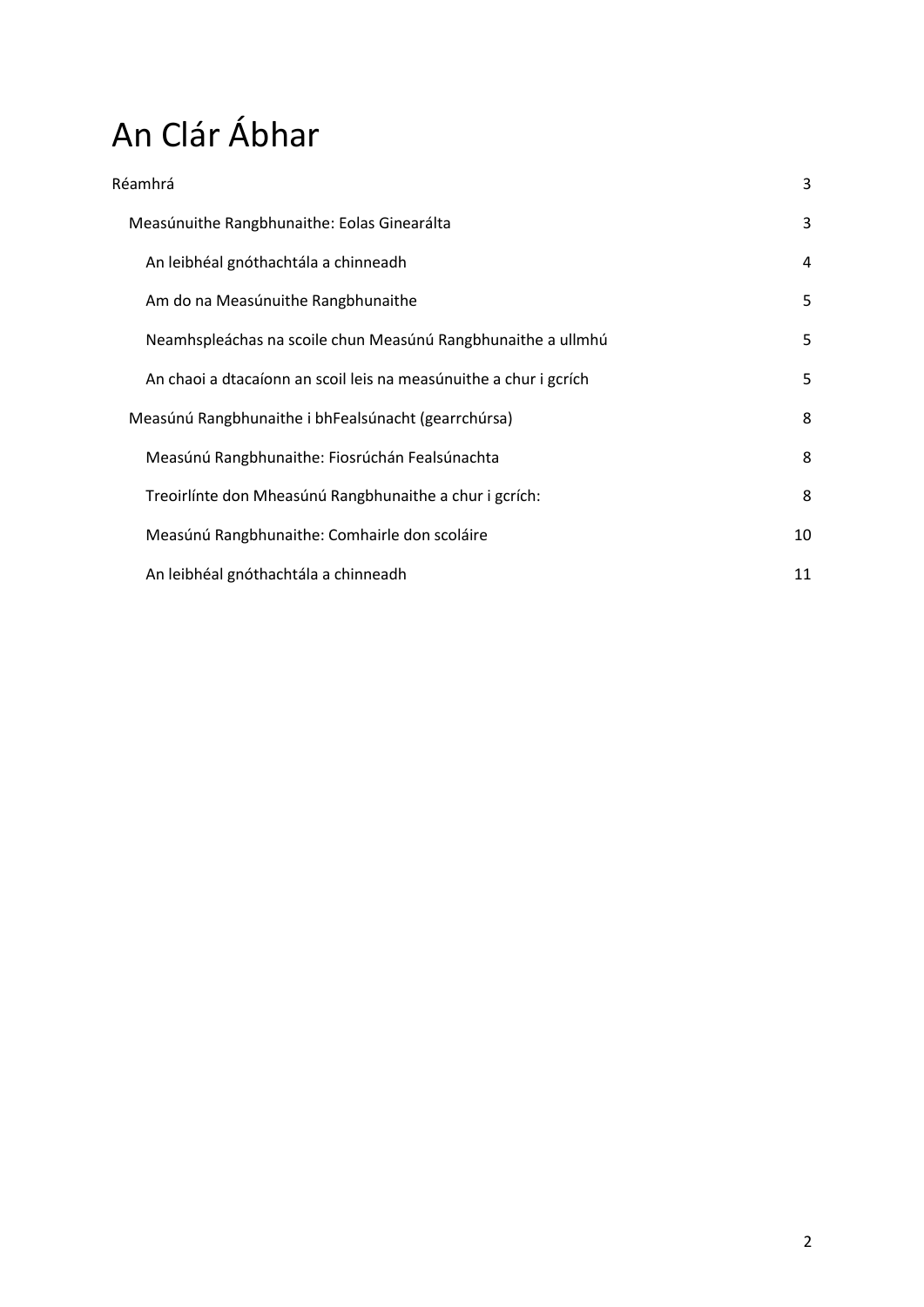# An Clár Ábhar

| Réamhrá                                                           | 3  |
|-------------------------------------------------------------------|----|
| Measúnuithe Rangbhunaithe: Eolas Ginearálta                       | 3  |
| An leibhéal gnóthachtála a chinneadh                              | 4  |
| Am do na Measúnuithe Rangbhunaithe                                | 5  |
| Neamhspleáchas na scoile chun Measúnú Rangbhunaithe a ullmhú      | 5  |
| An chaoi a dtacaíonn an scoil leis na measúnuithe a chur i gcrích | 5  |
| Measúnú Rangbhunaithe i bhFealsúnacht (gearrchúrsa)               | 8  |
| Measúnú Rangbhunaithe: Fiosrúchán Fealsúnachta                    | 8  |
| Treoirlínte don Mheasúnú Rangbhunaithe a chur i gcrích:           | 8  |
| Measúnú Rangbhunaithe: Comhairle don scoláire                     | 10 |
| An leibhéal gnóthachtála a chinneadh                              | 11 |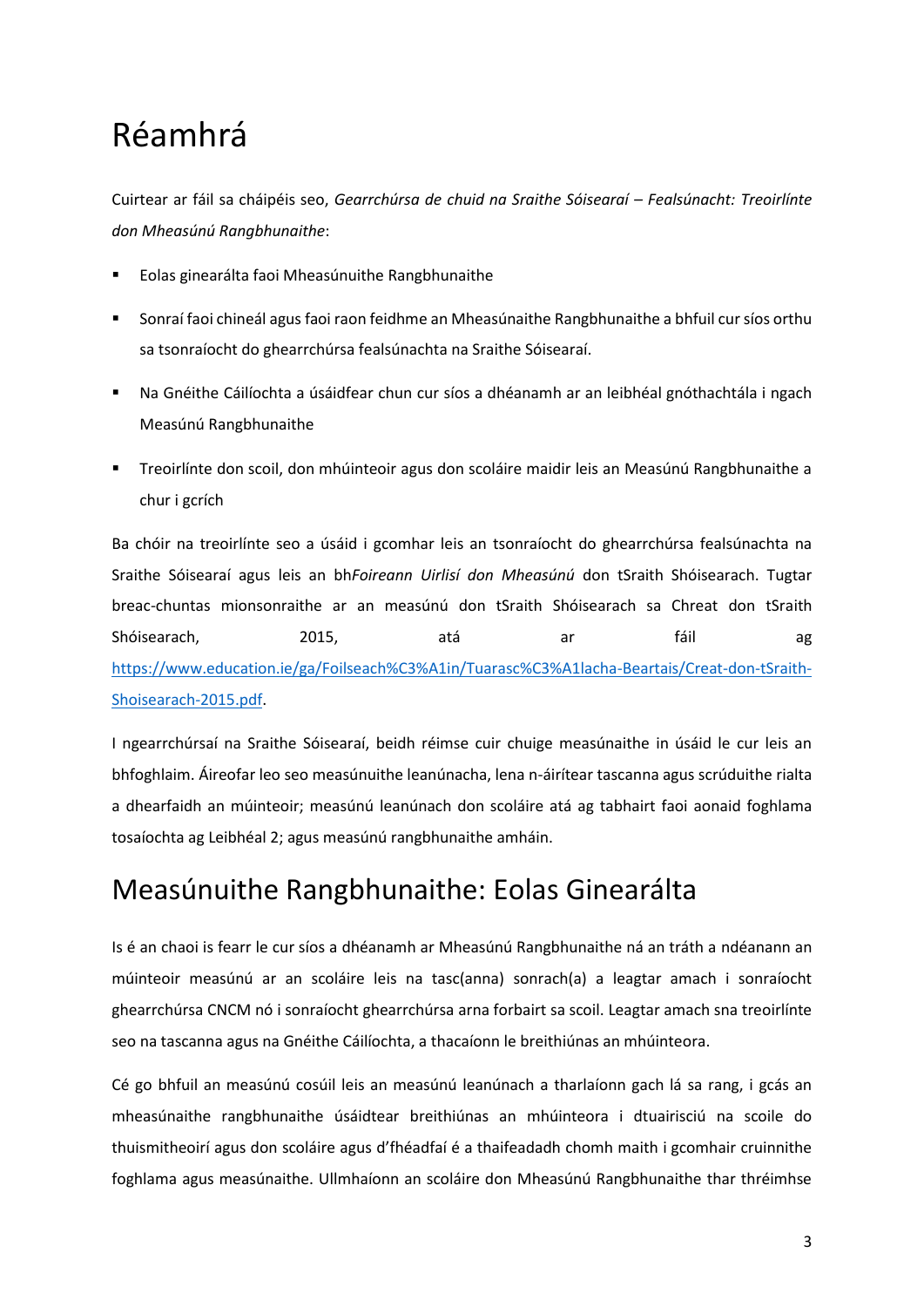# <span id="page-2-0"></span>Réamhrá

Cuirtear ar fáil sa cháipéis seo, *Gearrchúrsa de chuid na Sraithe Sóisearaí – Fealsúnacht: Treoirlínte don Mheasúnú Rangbhunaithe*:

- Eolas ginearálta faoi Mheasúnuithe Rangbhunaithe
- Sonraí faoi chineál agus faoi raon feidhme an Mheasúnaithe Rangbhunaithe a bhfuil cur síos orthu sa tsonraíocht do ghearrchúrsa fealsúnachta na Sraithe Sóisearaí.
- Na Gnéithe Cáilíochta a úsáidfear chun cur síos a dhéanamh ar an leibhéal gnóthachtála i ngach Measúnú Rangbhunaithe
- Treoirlínte don scoil, don mhúinteoir agus don scoláire maidir leis an Measúnú Rangbhunaithe a chur i gcrích

Ba chóir na treoirlínte seo a úsáid i gcomhar leis an tsonraíocht do ghearrchúrsa fealsúnachta na Sraithe Sóisearaí agus leis an bh*Foireann Uirlisí don Mheasúnú* don tSraith Shóisearach. Tugtar breac-chuntas mionsonraithe ar an measúnú don tSraith Shóisearach sa Chreat don tSraith Shóisearach, 2015, atá ar fáil ag [https://www.education.ie/ga/Foilseach%C3%A1in/Tuarasc%C3%A1lacha-Beartais/Creat-don-tSraith-](https://www.education.ie/ga/Foilseach%C3%A1in/Tuarasc%C3%A1lacha-Beartais/Creat-don-tSraith-Shoisearach-2015.pdf)[Shoisearach-2015.pdf.](https://www.education.ie/ga/Foilseach%C3%A1in/Tuarasc%C3%A1lacha-Beartais/Creat-don-tSraith-Shoisearach-2015.pdf)

I ngearrchúrsaí na Sraithe Sóisearaí, beidh réimse cuir chuige measúnaithe in úsáid le cur leis an bhfoghlaim. Áireofar leo seo measúnuithe leanúnacha, lena n-áirítear tascanna agus scrúduithe rialta a dhearfaidh an múinteoir; measúnú leanúnach don scoláire atá ag tabhairt faoi aonaid foghlama tosaíochta ag Leibhéal 2; agus measúnú rangbhunaithe amháin.

## <span id="page-2-1"></span>Measúnuithe Rangbhunaithe: Eolas Ginearálta

Is é an chaoi is fearr le cur síos a dhéanamh ar Mheasúnú Rangbhunaithe ná an tráth a ndéanann an múinteoir measúnú ar an scoláire leis na tasc(anna) sonrach(a) a leagtar amach i sonraíocht ghearrchúrsa CNCM nó i sonraíocht ghearrchúrsa arna forbairt sa scoil. Leagtar amach sna treoirlínte seo na tascanna agus na Gnéithe Cáilíochta, a thacaíonn le breithiúnas an mhúinteora.

Cé go bhfuil an measúnú cosúil leis an measúnú leanúnach a tharlaíonn gach lá sa rang, i gcás an mheasúnaithe rangbhunaithe úsáidtear breithiúnas an mhúinteora i dtuairisciú na scoile do thuismitheoirí agus don scoláire agus d'fhéadfaí é a thaifeadadh chomh maith i gcomhair cruinnithe foghlama agus measúnaithe. Ullmhaíonn an scoláire don Mheasúnú Rangbhunaithe thar thréimhse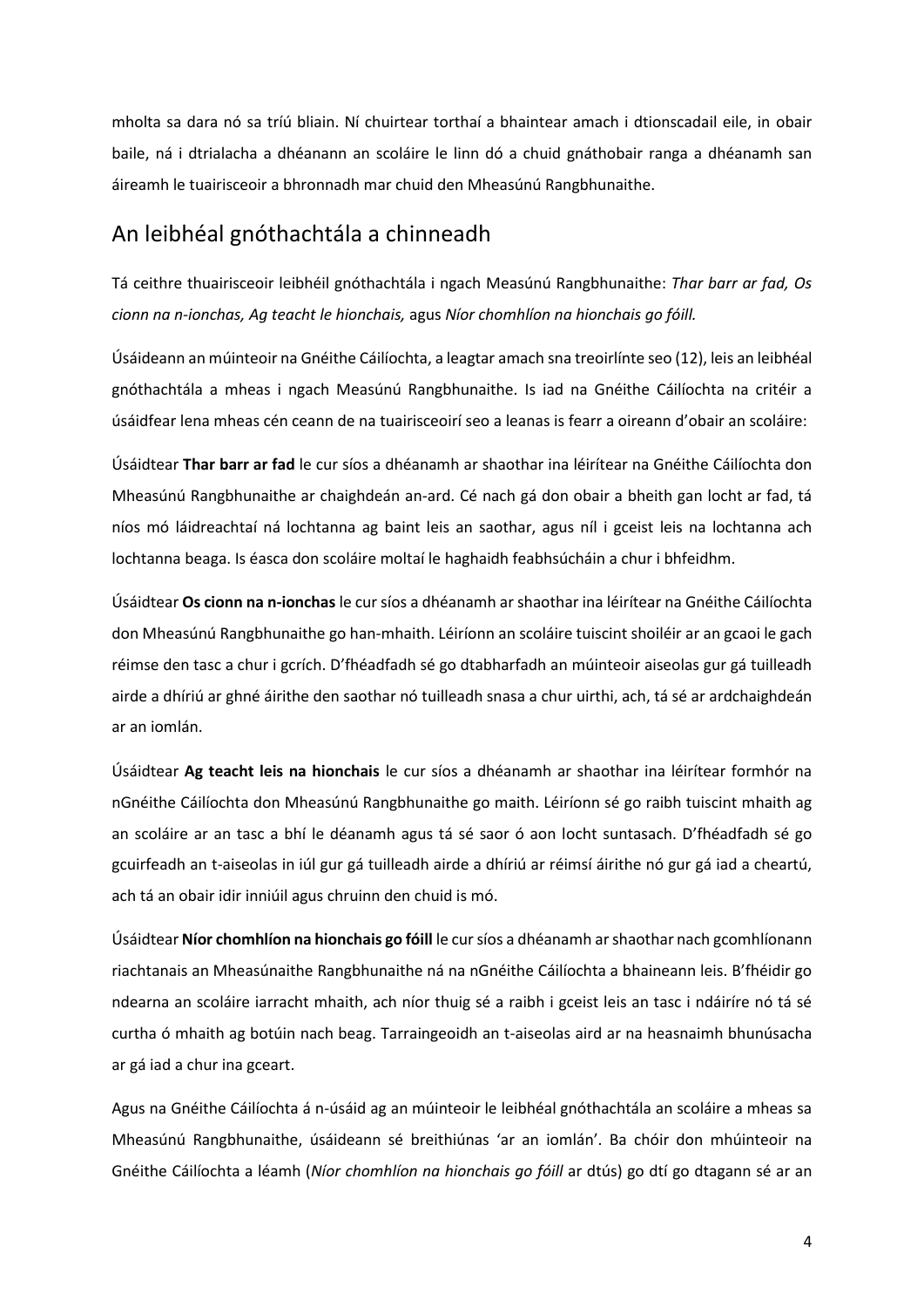mholta sa dara nó sa tríú bliain. Ní chuirtear torthaí a bhaintear amach i dtionscadail eile, in obair baile, ná i dtrialacha a dhéanann an scoláire le linn dó a chuid gnáthobair ranga a dhéanamh san áireamh le tuairisceoir a bhronnadh mar chuid den Mheasúnú Rangbhunaithe.

### <span id="page-3-0"></span>An leibhéal gnóthachtála a chinneadh

Tá ceithre thuairisceoir leibhéil gnóthachtála i ngach Measúnú Rangbhunaithe: *Thar barr ar fad, Os cionn na n-ionchas, Ag teacht le hionchais,* agus *Níor chomhlíon na hionchais go fóill.*

Úsáideann an múinteoir na Gnéithe Cáilíochta, a leagtar amach sna treoirlínte seo (12), leis an leibhéal gnóthachtála a mheas i ngach Measúnú Rangbhunaithe. Is iad na Gnéithe Cáilíochta na critéir a úsáidfear lena mheas cén ceann de na tuairisceoirí seo a leanas is fearr a oireann d'obair an scoláire:

Úsáidtear **Thar barr ar fad** le cur síos a dhéanamh ar shaothar ina léirítear na Gnéithe Cáilíochta don Mheasúnú Rangbhunaithe ar chaighdeán an-ard. Cé nach gá don obair a bheith gan locht ar fad, tá níos mó láidreachtaí ná lochtanna ag baint leis an saothar, agus níl i gceist leis na lochtanna ach lochtanna beaga. Is éasca don scoláire moltaí le haghaidh feabhsúcháin a chur i bhfeidhm.

Úsáidtear **Os cionn na n-ionchas** le cur síos a dhéanamh ar shaothar ina léirítear na Gnéithe Cáilíochta don Mheasúnú Rangbhunaithe go han-mhaith. Léiríonn an scoláire tuiscint shoiléir ar an gcaoi le gach réimse den tasc a chur i gcrích. D'fhéadfadh sé go dtabharfadh an múinteoir aiseolas gur gá tuilleadh airde a dhíriú ar ghné áirithe den saothar nó tuilleadh snasa a chur uirthi, ach, tá sé ar ardchaighdeán ar an iomlán.

Úsáidtear **Ag teacht leis na hionchais** le cur síos a dhéanamh ar shaothar ina léirítear formhór na nGnéithe Cáilíochta don Mheasúnú Rangbhunaithe go maith. Léiríonn sé go raibh tuiscint mhaith ag an scoláire ar an tasc a bhí le déanamh agus tá sé saor ó aon locht suntasach. D'fhéadfadh sé go gcuirfeadh an t-aiseolas in iúl gur gá tuilleadh airde a dhíriú ar réimsí áirithe nó gur gá iad a cheartú, ach tá an obair idir inniúil agus chruinn den chuid is mó.

Úsáidtear **Níor chomhlíon na hionchais go fóill** le cur síos a dhéanamh ar shaothar nach gcomhlíonann riachtanais an Mheasúnaithe Rangbhunaithe ná na nGnéithe Cáilíochta a bhaineann leis. B'fhéidir go ndearna an scoláire iarracht mhaith, ach níor thuig sé a raibh i gceist leis an tasc i ndáiríre nó tá sé curtha ó mhaith ag botúin nach beag. Tarraingeoidh an t-aiseolas aird ar na heasnaimh bhunúsacha ar gá iad a chur ina gceart.

Agus na Gnéithe Cáilíochta á n-úsáid ag an múinteoir le leibhéal gnóthachtála an scoláire a mheas sa Mheasúnú Rangbhunaithe, úsáideann sé breithiúnas 'ar an iomlán'. Ba chóir don mhúinteoir na Gnéithe Cáilíochta a léamh (*Níor chomhlíon na hionchais go fóill* ar dtús) go dtí go dtagann sé ar an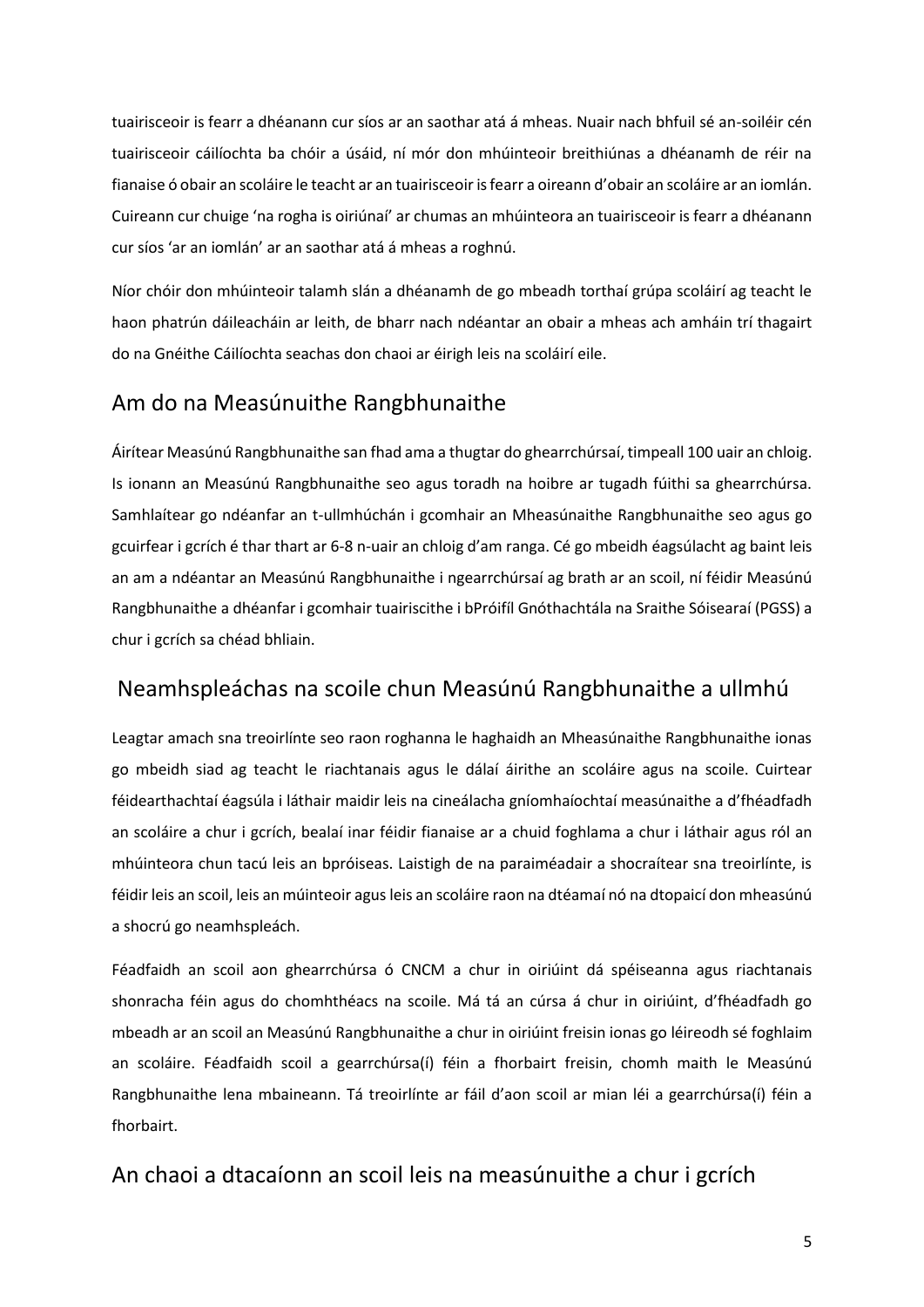tuairisceoir is fearr a dhéanann cur síos ar an saothar atá á mheas. Nuair nach bhfuil sé an-soiléir cén tuairisceoir cáilíochta ba chóir a úsáid, ní mór don mhúinteoir breithiúnas a dhéanamh de réir na fianaise ó obair an scoláire le teacht ar an tuairisceoir is fearr a oireann d'obair an scoláire ar an iomlán. Cuireann cur chuige 'na rogha is oiriúnaí' ar chumas an mhúinteora an tuairisceoir is fearr a dhéanann cur síos 'ar an iomlán' ar an saothar atá á mheas a roghnú.

Níor chóir don mhúinteoir talamh slán a dhéanamh de go mbeadh torthaí grúpa scoláirí ag teacht le haon phatrún dáileacháin ar leith, de bharr nach ndéantar an obair a mheas ach amháin trí thagairt do na Gnéithe Cáilíochta seachas don chaoi ar éirigh leis na scoláirí eile.

### <span id="page-4-0"></span>Am do na Measúnuithe Rangbhunaithe

Áirítear Measúnú Rangbhunaithe san fhad ama a thugtar do ghearrchúrsaí, timpeall 100 uair an chloig. Is ionann an Measúnú Rangbhunaithe seo agus toradh na hoibre ar tugadh fúithi sa ghearrchúrsa. Samhlaítear go ndéanfar an t-ullmhúchán i gcomhair an Mheasúnaithe Rangbhunaithe seo agus go gcuirfear i gcrích é thar thart ar 6-8 n-uair an chloig d'am ranga. Cé go mbeidh éagsúlacht ag baint leis an am a ndéantar an Measúnú Rangbhunaithe i ngearrchúrsaí ag brath ar an scoil, ní féidir Measúnú Rangbhunaithe a dhéanfar i gcomhair tuairiscithe i bPróifíl Gnóthachtála na Sraithe Sóisearaí (PGSS) a chur i gcrích sa chéad bhliain.

### <span id="page-4-1"></span>Neamhspleáchas na scoile chun Measúnú Rangbhunaithe a ullmhú

Leagtar amach sna treoirlínte seo raon roghanna le haghaidh an Mheasúnaithe Rangbhunaithe ionas go mbeidh siad ag teacht le riachtanais agus le dálaí áirithe an scoláire agus na scoile. Cuirtear féidearthachtaí éagsúla i láthair maidir leis na cineálacha gníomhaíochtaí measúnaithe a d'fhéadfadh an scoláire a chur i gcrích, bealaí inar féidir fianaise ar a chuid foghlama a chur i láthair agus ról an mhúinteora chun tacú leis an bpróiseas. Laistigh de na paraiméadair a shocraítear sna treoirlínte, is féidir leis an scoil, leis an múinteoir agus leis an scoláire raon na dtéamaí nó na dtopaicí don mheasúnú a shocrú go neamhspleách.

Féadfaidh an scoil aon ghearrchúrsa ó CNCM a chur in oiriúint dá spéiseanna agus riachtanais shonracha féin agus do chomhthéacs na scoile. Má tá an cúrsa á chur in oiriúint, d'fhéadfadh go mbeadh ar an scoil an Measúnú Rangbhunaithe a chur in oiriúint freisin ionas go léireodh sé foghlaim an scoláire. Féadfaidh scoil a gearrchúrsa(í) féin a fhorbairt freisin, chomh maith le Measúnú Rangbhunaithe lena mbaineann. Tá treoirlínte ar fáil d'aon scoil ar mian léi a gearrchúrsa(í) féin a fhorbairt.

### <span id="page-4-2"></span>An chaoi a dtacaíonn an scoil leis na measúnuithe a chur i gcrích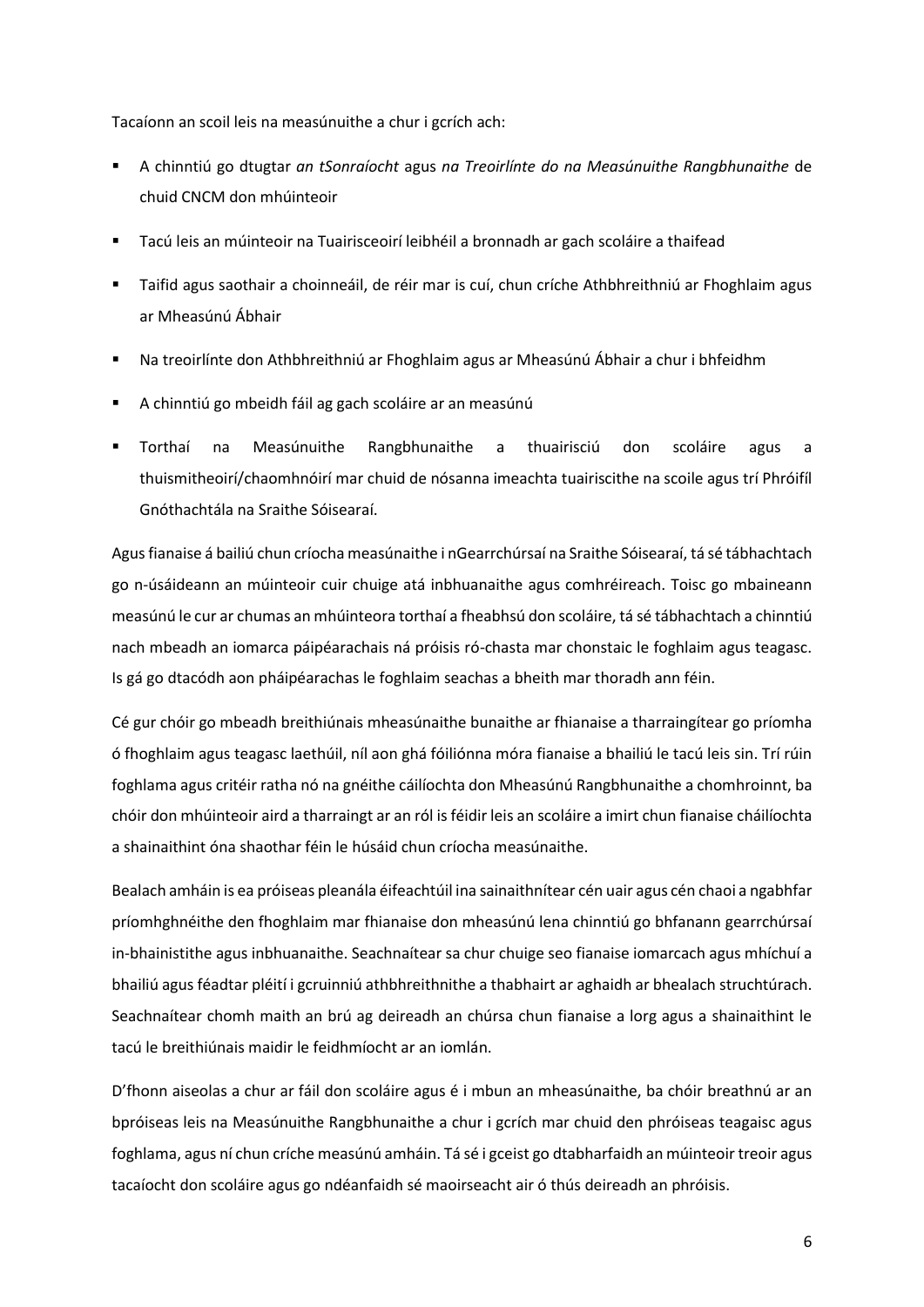Tacaíonn an scoil leis na measúnuithe a chur i gcrích ach:

- A chinntiú go dtugtar *an tSonraíocht* agus *na Treoirlínte do na Measúnuithe Rangbhunaithe* de chuid CNCM don mhúinteoir
- Tacú leis an múinteoir na Tuairisceoirí leibhéil a bronnadh ar gach scoláire a thaifead
- Taifid agus saothair a choinneáil, de réir mar is cuí, chun críche Athbhreithniú ar Fhoghlaim agus ar Mheasúnú Ábhair
- Na treoirlínte don Athbhreithniú ar Fhoghlaim agus ar Mheasúnú Ábhair a chur i bhfeidhm
- A chinntiú go mbeidh fáil ag gach scoláire ar an measúnú
- Torthaí na Measúnuithe Rangbhunaithe a thuairisciú don scoláire agus a thuismitheoirí/chaomhnóirí mar chuid de nósanna imeachta tuairiscithe na scoile agus trí Phróifíl Gnóthachtála na Sraithe Sóisearaí.

Agus fianaise á bailiú chun críocha measúnaithe i nGearrchúrsaí na Sraithe Sóisearaí, tá sé tábhachtach go n-úsáideann an múinteoir cuir chuige atá inbhuanaithe agus comhréireach. Toisc go mbaineann measúnú le cur ar chumas an mhúinteora torthaí a fheabhsú don scoláire, tá sé tábhachtach a chinntiú nach mbeadh an iomarca páipéarachais ná próisis ró-chasta mar chonstaic le foghlaim agus teagasc. Is gá go dtacódh aon pháipéarachas le foghlaim seachas a bheith mar thoradh ann féin.

Cé gur chóir go mbeadh breithiúnais mheasúnaithe bunaithe ar fhianaise a tharraingítear go príomha ó fhoghlaim agus teagasc laethúil, níl aon ghá fóiliónna móra fianaise a bhailiú le tacú leis sin. Trí rúin foghlama agus critéir ratha nó na gnéithe cáilíochta don Mheasúnú Rangbhunaithe a chomhroinnt, ba chóir don mhúinteoir aird a tharraingt ar an ról is féidir leis an scoláire a imirt chun fianaise cháilíochta a shainaithint óna shaothar féin le húsáid chun críocha measúnaithe.

Bealach amháin is ea próiseas pleanála éifeachtúil ina sainaithnítear cén uair agus cén chaoi a ngabhfar príomhghnéithe den fhoghlaim mar fhianaise don mheasúnú lena chinntiú go bhfanann gearrchúrsaí in-bhainistithe agus inbhuanaithe. Seachnaítear sa chur chuige seo fianaise iomarcach agus mhíchuí a bhailiú agus féadtar pléití i gcruinniú athbhreithnithe a thabhairt ar aghaidh ar bhealach struchtúrach. Seachnaítear chomh maith an brú ag deireadh an chúrsa chun fianaise a lorg agus a shainaithint le tacú le breithiúnais maidir le feidhmíocht ar an iomlán.

D'fhonn aiseolas a chur ar fáil don scoláire agus é i mbun an mheasúnaithe, ba chóir breathnú ar an bpróiseas leis na Measúnuithe Rangbhunaithe a chur i gcrích mar chuid den phróiseas teagaisc agus foghlama, agus ní chun críche measúnú amháin. Tá sé i gceist go dtabharfaidh an múinteoir treoir agus tacaíocht don scoláire agus go ndéanfaidh sé maoirseacht air ó thús deireadh an phróisis.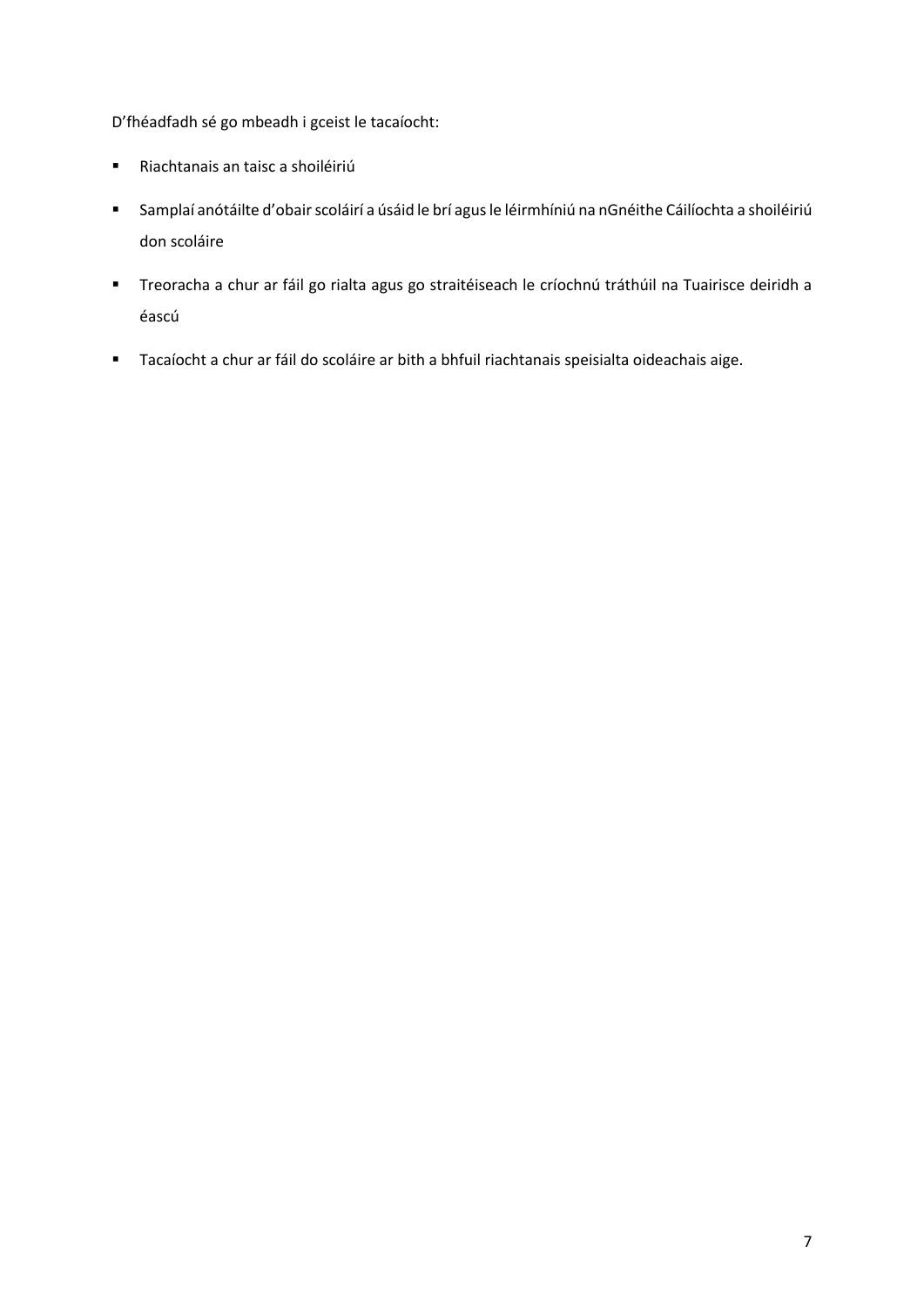D'fhéadfadh sé go mbeadh i gceist le tacaíocht:

- Riachtanais an taisc a shoiléiriú
- Samplaí anótáilte d'obair scoláirí a úsáid le brí agus le léirmhíniú na nGnéithe Cáilíochta a shoiléiriú don scoláire
- Treoracha a chur ar fáil go rialta agus go straitéiseach le críochnú tráthúil na Tuairisce deiridh a éascú
- Tacaíocht a chur ar fáil do scoláire ar bith a bhfuil riachtanais speisialta oideachais aige.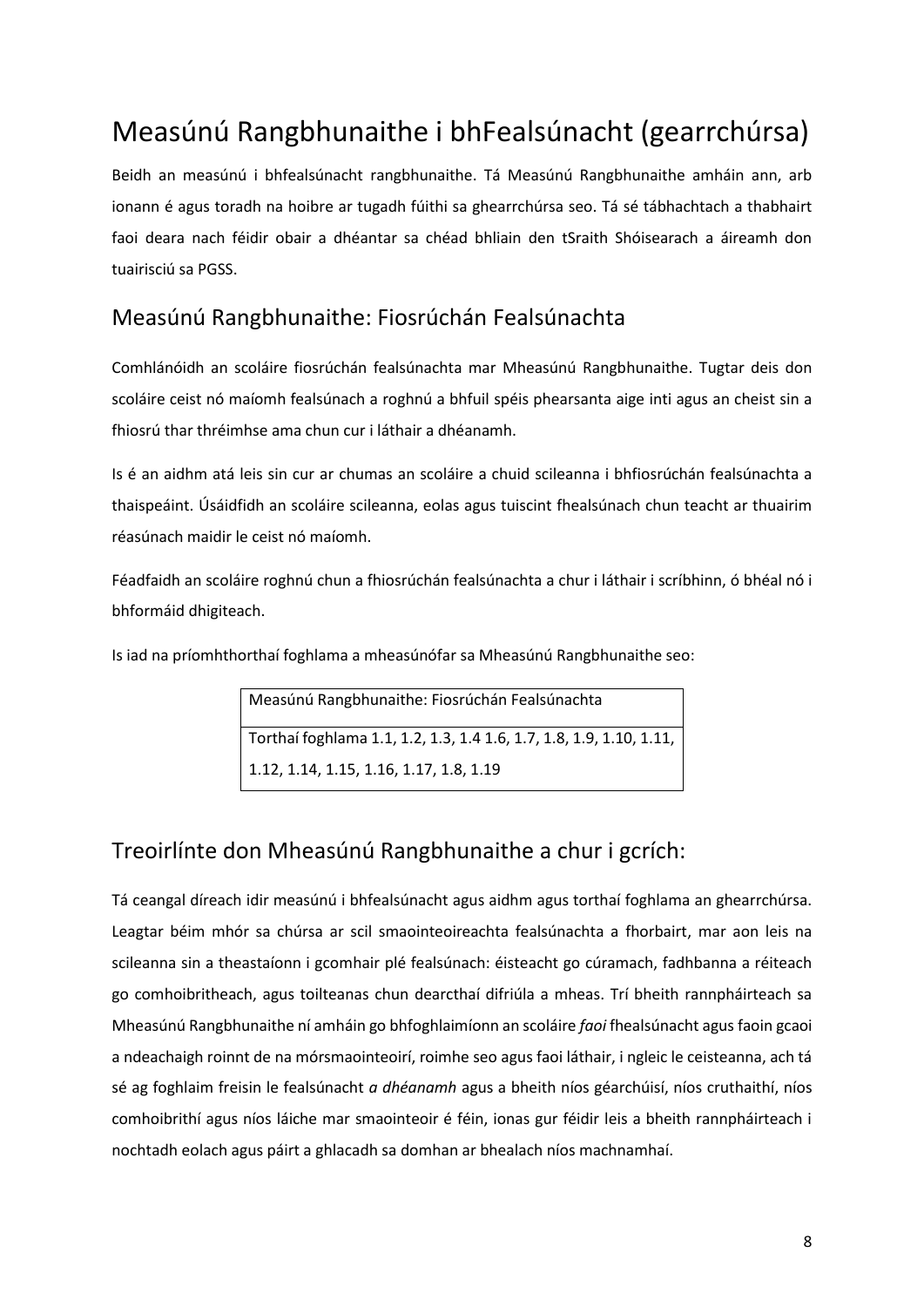## <span id="page-7-0"></span>Measúnú Rangbhunaithe i bhFealsúnacht (gearrchúrsa)

Beidh an measúnú i bhfealsúnacht rangbhunaithe. Tá Measúnú Rangbhunaithe amháin ann, arb ionann é agus toradh na hoibre ar tugadh fúithi sa ghearrchúrsa seo. Tá sé tábhachtach a thabhairt faoi deara nach féidir obair a dhéantar sa chéad bhliain den tSraith Shóisearach a áireamh don tuairisciú sa PGSS.

### <span id="page-7-1"></span>Measúnú Rangbhunaithe: Fiosrúchán Fealsúnachta

Comhlánóidh an scoláire fiosrúchán fealsúnachta mar Mheasúnú Rangbhunaithe. Tugtar deis don scoláire ceist nó maíomh fealsúnach a roghnú a bhfuil spéis phearsanta aige inti agus an cheist sin a fhiosrú thar thréimhse ama chun cur i láthair a dhéanamh.

Is é an aidhm atá leis sin cur ar chumas an scoláire a chuid scileanna i bhfiosrúchán fealsúnachta a thaispeáint. Úsáidfidh an scoláire scileanna, eolas agus tuiscint fhealsúnach chun teacht ar thuairim réasúnach maidir le ceist nó maíomh.

Féadfaidh an scoláire roghnú chun a fhiosrúchán fealsúnachta a chur i láthair i scríbhinn, ó bhéal nó i bhformáid dhigiteach.

Is iad na príomhthorthaí foghlama a mheasúnófar sa Mheasúnú Rangbhunaithe seo:

Measúnú Rangbhunaithe: Fiosrúchán Fealsúnachta Torthaí foghlama 1.1, 1.2, 1.3, 1.4 1.6, 1.7, 1.8, 1.9, 1.10, 1.11, 1.12, 1.14, 1.15, 1.16, 1.17, 1.8, 1.19

### <span id="page-7-2"></span>Treoirlínte don Mheasúnú Rangbhunaithe a chur i gcrích:

Tá ceangal díreach idir measúnú i bhfealsúnacht agus aidhm agus torthaí foghlama an ghearrchúrsa. Leagtar béim mhór sa chúrsa ar scil smaointeoireachta fealsúnachta a fhorbairt, mar aon leis na scileanna sin a theastaíonn i gcomhair plé fealsúnach: éisteacht go cúramach, fadhbanna a réiteach go comhoibritheach, agus toilteanas chun dearcthaí difriúla a mheas. Trí bheith rannpháirteach sa Mheasúnú Rangbhunaithe ní amháin go bhfoghlaimíonn an scoláire *faoi* fhealsúnacht agus faoin gcaoi a ndeachaigh roinnt de na mórsmaointeoirí, roimhe seo agus faoi láthair, i ngleic le ceisteanna, ach tá sé ag foghlaim freisin le fealsúnacht *a dhéanamh* agus a bheith níos géarchúisí, níos cruthaithí, níos comhoibrithí agus níos láiche mar smaointeoir é féin, ionas gur féidir leis a bheith rannpháirteach i nochtadh eolach agus páirt a ghlacadh sa domhan ar bhealach níos machnamhaí.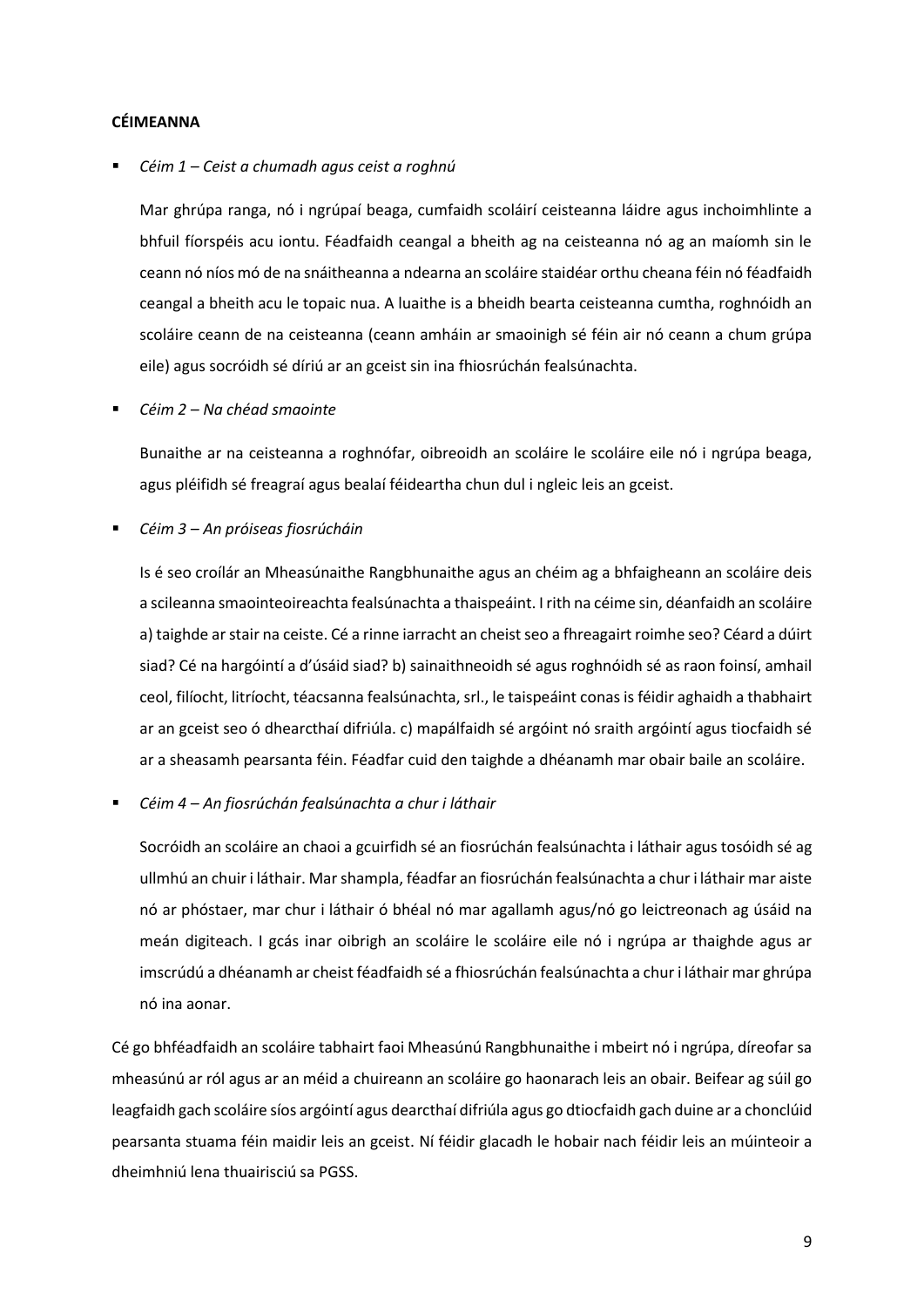#### **CÉIMEANNA**

▪ *Céim 1 – Ceist a chumadh agus ceist a roghnú*

Mar ghrúpa ranga, nó i ngrúpaí beaga, cumfaidh scoláirí ceisteanna láidre agus inchoimhlinte a bhfuil fíorspéis acu iontu. Féadfaidh ceangal a bheith ag na ceisteanna nó ag an maíomh sin le ceann nó níos mó de na snáitheanna a ndearna an scoláire staidéar orthu cheana féin nó féadfaidh ceangal a bheith acu le topaic nua. A luaithe is a bheidh bearta ceisteanna cumtha, roghnóidh an scoláire ceann de na ceisteanna (ceann amháin ar smaoinigh sé féin air nó ceann a chum grúpa eile) agus socróidh sé díriú ar an gceist sin ina fhiosrúchán fealsúnachta.

▪ *Céim 2 – Na chéad smaointe* 

Bunaithe ar na ceisteanna a roghnófar, oibreoidh an scoláire le scoláire eile nó i ngrúpa beaga, agus pléifidh sé freagraí agus bealaí féideartha chun dul i ngleic leis an gceist.

▪ *Céim 3 – An próiseas fiosrúcháin*

Is é seo croílár an Mheasúnaithe Rangbhunaithe agus an chéim ag a bhfaigheann an scoláire deis a scileanna smaointeoireachta fealsúnachta a thaispeáint. I rith na céime sin, déanfaidh an scoláire a) taighde ar stair na ceiste. Cé a rinne iarracht an cheist seo a fhreagairt roimhe seo? Céard a dúirt siad? Cé na hargóintí a d'úsáid siad? b) sainaithneoidh sé agus roghnóidh sé as raon foinsí, amhail ceol, filíocht, litríocht, téacsanna fealsúnachta, srl., le taispeáint conas is féidir aghaidh a thabhairt ar an gceist seo ó dhearcthaí difriúla. c) mapálfaidh sé argóint nó sraith argóintí agus tiocfaidh sé ar a sheasamh pearsanta féin. Féadfar cuid den taighde a dhéanamh mar obair baile an scoláire.

▪ *Céim 4 – An fiosrúchán fealsúnachta a chur i láthair* 

Socróidh an scoláire an chaoi a gcuirfidh sé an fiosrúchán fealsúnachta i láthair agus tosóidh sé ag ullmhú an chuir i láthair. Mar shampla, féadfar an fiosrúchán fealsúnachta a chur i láthair mar aiste nó ar phóstaer, mar chur i láthair ó bhéal nó mar agallamh agus/nó go leictreonach ag úsáid na meán digiteach. I gcás inar oibrigh an scoláire le scoláire eile nó i ngrúpa ar thaighde agus ar imscrúdú a dhéanamh ar cheist féadfaidh sé a fhiosrúchán fealsúnachta a chur i láthair mar ghrúpa nó ina aonar.

Cé go bhféadfaidh an scoláire tabhairt faoi Mheasúnú Rangbhunaithe i mbeirt nó i ngrúpa, díreofar sa mheasúnú ar ról agus ar an méid a chuireann an scoláire go haonarach leis an obair. Beifear ag súil go leagfaidh gach scoláire síos argóintí agus dearcthaí difriúla agus go dtiocfaidh gach duine ar a chonclúid pearsanta stuama féin maidir leis an gceist. Ní féidir glacadh le hobair nach féidir leis an múinteoir a dheimhniú lena thuairisciú sa PGSS.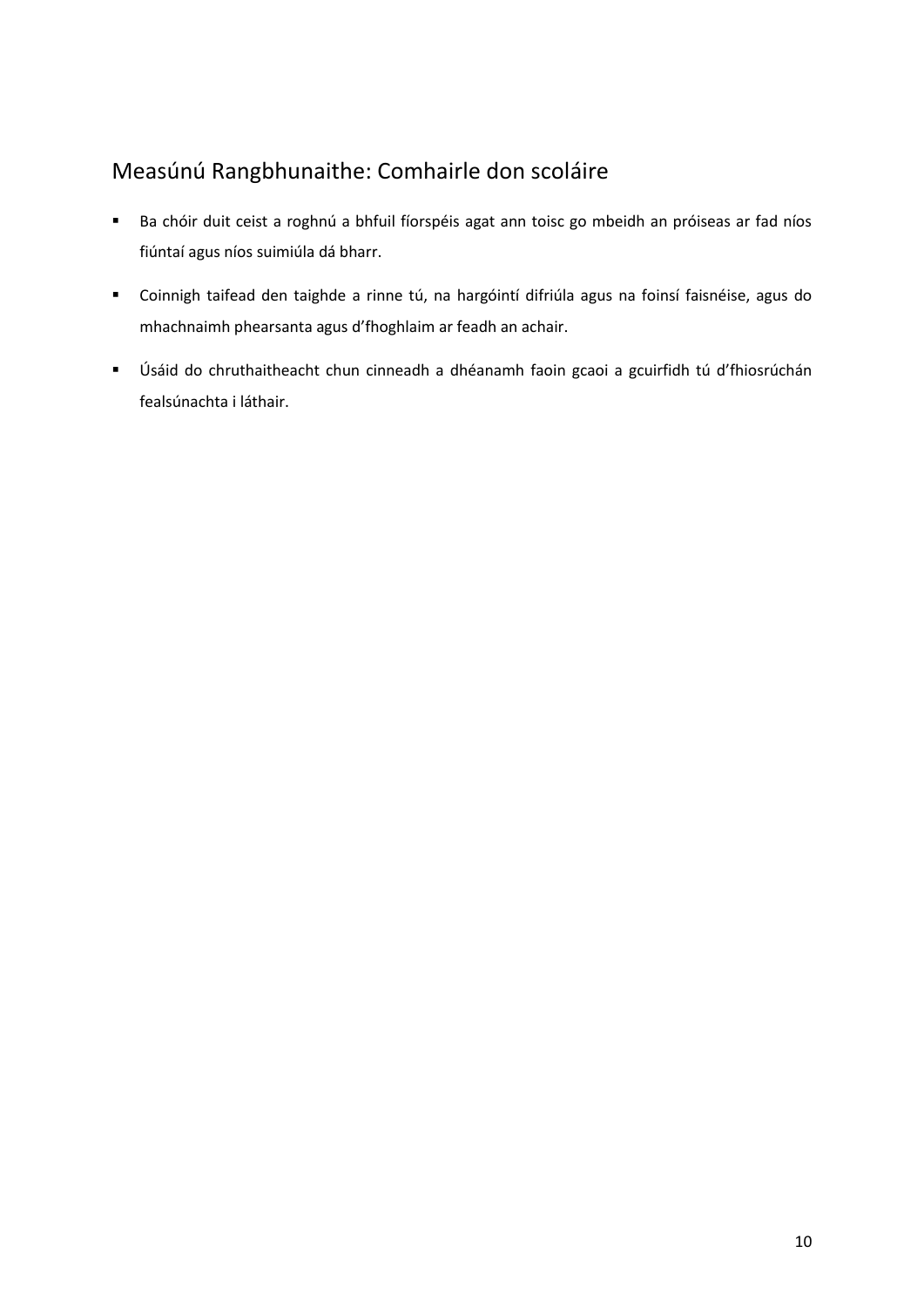### <span id="page-9-0"></span>Measúnú Rangbhunaithe: Comhairle don scoláire

- Ba chóir duit ceist a roghnú a bhfuil fíorspéis agat ann toisc go mbeidh an próiseas ar fad níos fiúntaí agus níos suimiúla dá bharr.
- Coinnigh taifead den taighde a rinne tú, na hargóintí difriúla agus na foinsí faisnéise, agus do mhachnaimh phearsanta agus d'fhoghlaim ar feadh an achair.
- Úsáid do chruthaitheacht chun cinneadh a dhéanamh faoin gcaoi a gcuirfidh tú d'fhiosrúchán fealsúnachta i láthair.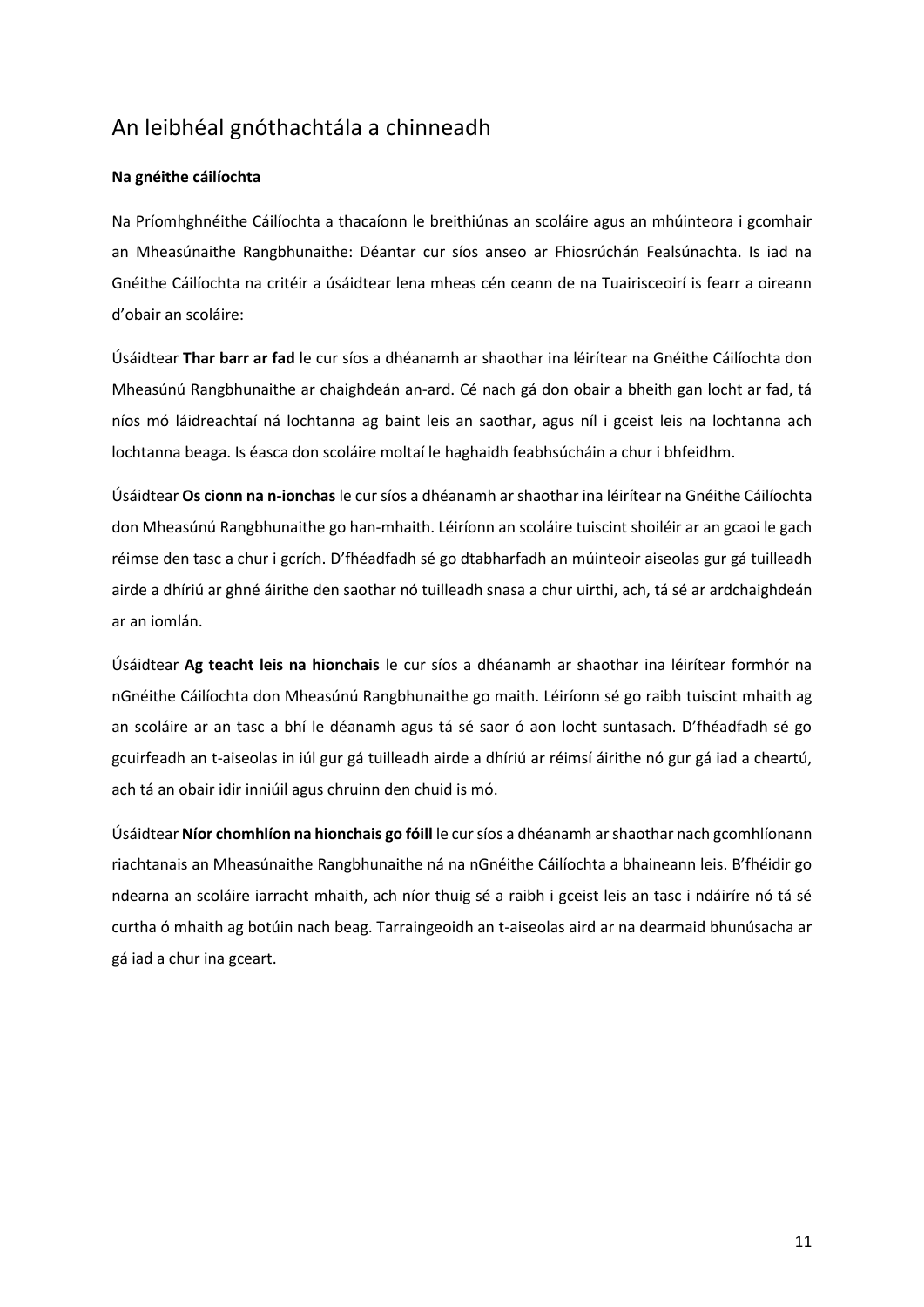### <span id="page-10-0"></span>An leibhéal gnóthachtála a chinneadh

#### **Na gnéithe cáilíochta**

Na Príomhghnéithe Cáilíochta a thacaíonn le breithiúnas an scoláire agus an mhúinteora i gcomhair an Mheasúnaithe Rangbhunaithe: Déantar cur síos anseo ar Fhiosrúchán Fealsúnachta. Is iad na Gnéithe Cáilíochta na critéir a úsáidtear lena mheas cén ceann de na Tuairisceoirí is fearr a oireann d'obair an scoláire:

Úsáidtear **Thar barr ar fad** le cur síos a dhéanamh ar shaothar ina léirítear na Gnéithe Cáilíochta don Mheasúnú Rangbhunaithe ar chaighdeán an-ard. Cé nach gá don obair a bheith gan locht ar fad, tá níos mó láidreachtaí ná lochtanna ag baint leis an saothar, agus níl i gceist leis na lochtanna ach lochtanna beaga. Is éasca don scoláire moltaí le haghaidh feabhsúcháin a chur i bhfeidhm.

Úsáidtear **Os cionn na n-ionchas** le cur síos a dhéanamh ar shaothar ina léirítear na Gnéithe Cáilíochta don Mheasúnú Rangbhunaithe go han-mhaith. Léiríonn an scoláire tuiscint shoiléir ar an gcaoi le gach réimse den tasc a chur i gcrích. D'fhéadfadh sé go dtabharfadh an múinteoir aiseolas gur gá tuilleadh airde a dhíriú ar ghné áirithe den saothar nó tuilleadh snasa a chur uirthi, ach, tá sé ar ardchaighdeán ar an iomlán.

Úsáidtear **Ag teacht leis na hionchais** le cur síos a dhéanamh ar shaothar ina léirítear formhór na nGnéithe Cáilíochta don Mheasúnú Rangbhunaithe go maith. Léiríonn sé go raibh tuiscint mhaith ag an scoláire ar an tasc a bhí le déanamh agus tá sé saor ó aon locht suntasach. D'fhéadfadh sé go gcuirfeadh an t-aiseolas in iúl gur gá tuilleadh airde a dhíriú ar réimsí áirithe nó gur gá iad a cheartú, ach tá an obair idir inniúil agus chruinn den chuid is mó.

Úsáidtear **Níor chomhlíon na hionchais go fóill** le cur síos a dhéanamh ar shaothar nach gcomhlíonann riachtanais an Mheasúnaithe Rangbhunaithe ná na nGnéithe Cáilíochta a bhaineann leis. B'fhéidir go ndearna an scoláire iarracht mhaith, ach níor thuig sé a raibh i gceist leis an tasc i ndáiríre nó tá sé curtha ó mhaith ag botúin nach beag. Tarraingeoidh an t-aiseolas aird ar na dearmaid bhunúsacha ar gá iad a chur ina gceart.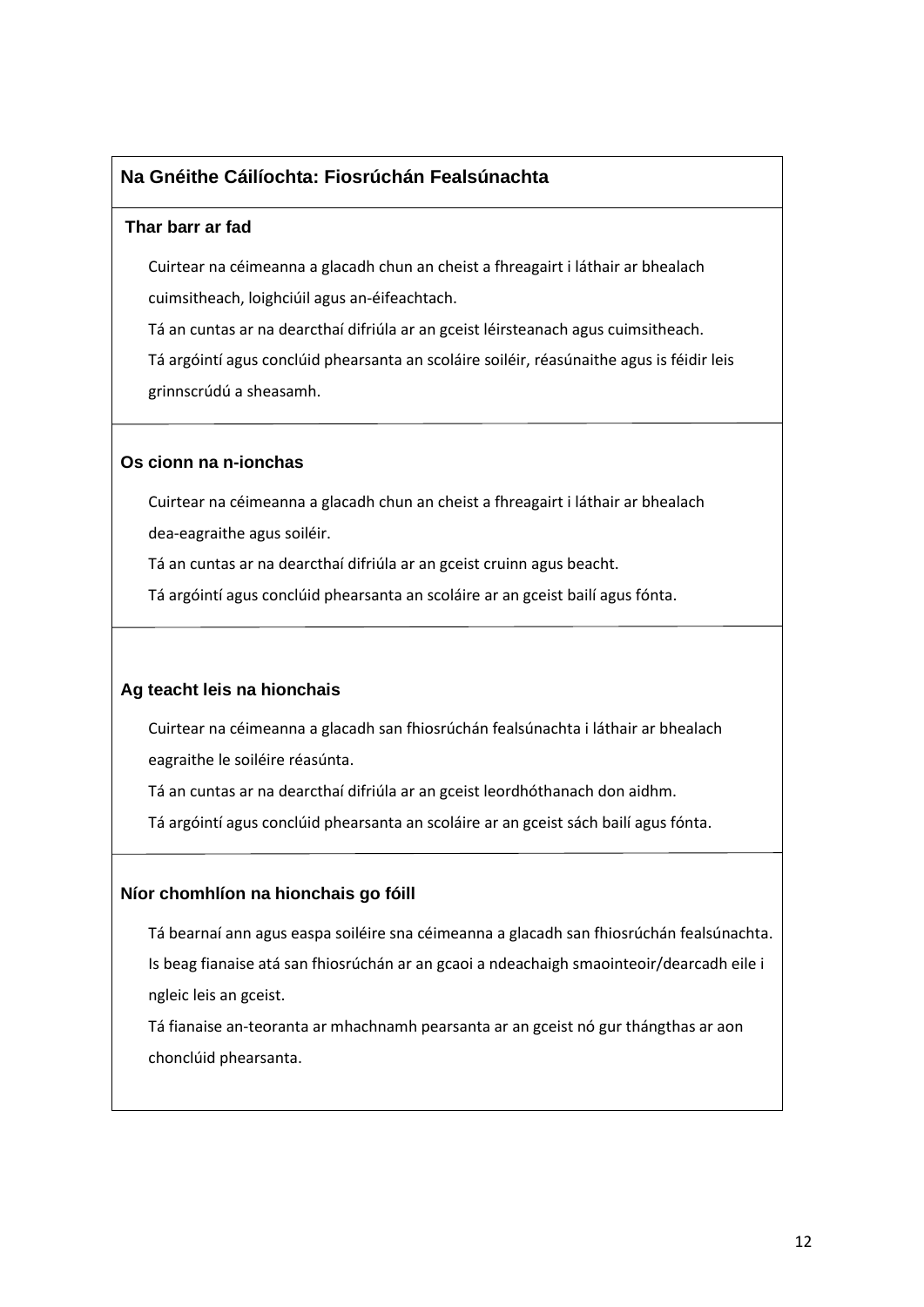### **Na Gnéithe Cáilíochta: Fiosrúchán Fealsúnachta**

#### **Thar barr ar fad**

Cuirtear na céimeanna a glacadh chun an cheist a fhreagairt i láthair ar bhealach cuimsitheach, loighciúil agus an-éifeachtach.

Tá an cuntas ar na dearcthaí difriúla ar an gceist léirsteanach agus cuimsitheach.

Tá argóintí agus conclúid phearsanta an scoláire soiléir, réasúnaithe agus is féidir leis grinnscrúdú a sheasamh.

#### **Os cionn na n-ionchas**

Cuirtear na céimeanna a glacadh chun an cheist a fhreagairt i láthair ar bhealach dea-eagraithe agus soiléir.

Tá an cuntas ar na dearcthaí difriúla ar an gceist cruinn agus beacht.

Tá argóintí agus conclúid phearsanta an scoláire ar an gceist bailí agus fónta.

#### **Ag teacht leis na hionchais**

Cuirtear na céimeanna a glacadh san fhiosrúchán fealsúnachta i láthair ar bhealach eagraithe le soiléire réasúnta.

Tá an cuntas ar na dearcthaí difriúla ar an gceist leordhóthanach don aidhm.

Tá argóintí agus conclúid phearsanta an scoláire ar an gceist sách bailí agus fónta.

#### **Níor chomhlíon na hionchais go fóill**

Tá bearnaí ann agus easpa soiléire sna céimeanna a glacadh san fhiosrúchán fealsúnachta. Is beag fianaise atá san fhiosrúchán ar an gcaoi a ndeachaigh smaointeoir/dearcadh eile i ngleic leis an gceist.

Tá fianaise an-teoranta ar mhachnamh pearsanta ar an gceist nó gur thángthas ar aon chonclúid phearsanta.